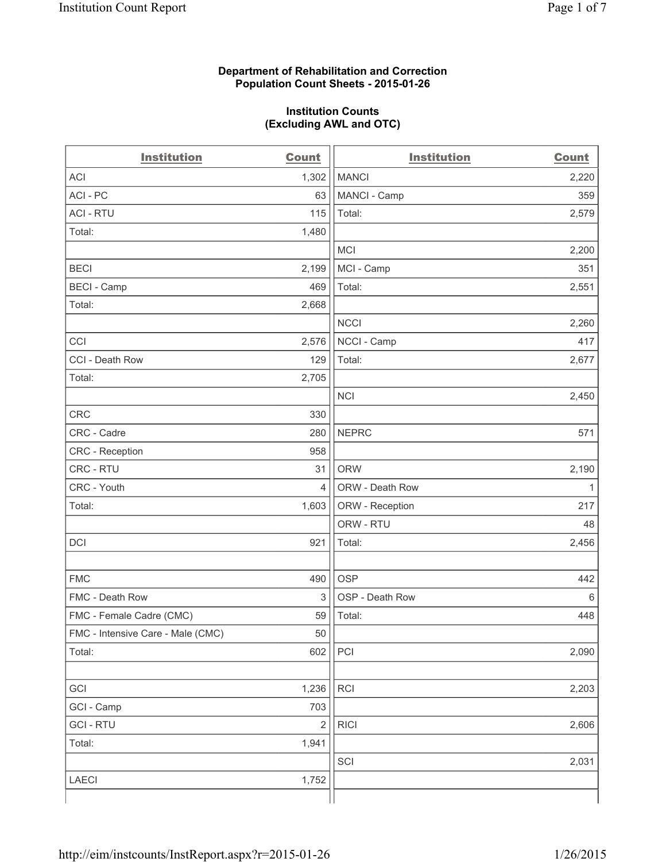### **Department of Rehabilitation and Correction Population Count Sheets - 2015-01-26**

#### **Institution Counts (Excluding AWL and OTC)**

| <b>Institution</b>                | <b>Count</b>   | <b>Institution</b> | <b>Count</b> |
|-----------------------------------|----------------|--------------------|--------------|
| <b>ACI</b>                        | 1,302          | <b>MANCI</b>       | 2,220        |
| ACI-PC                            | 63             | MANCI - Camp       | 359          |
| <b>ACI - RTU</b>                  | 115            | Total:             | 2,579        |
| Total:                            | 1,480          |                    |              |
|                                   |                | <b>MCI</b>         | 2,200        |
| <b>BECI</b>                       | 2,199          | MCI - Camp         | 351          |
| <b>BECI - Camp</b>                | 469            | Total:             | 2,551        |
| Total:                            | 2,668          |                    |              |
|                                   |                | <b>NCCI</b>        | 2,260        |
| CCI                               | 2,576          | NCCI - Camp        | 417          |
| CCI - Death Row                   | 129            | Total:             | 2,677        |
| Total:                            | 2,705          |                    |              |
|                                   |                | <b>NCI</b>         | 2,450        |
| <b>CRC</b>                        | 330            |                    |              |
| CRC - Cadre                       | 280            | <b>NEPRC</b>       | 571          |
| CRC - Reception                   | 958            |                    |              |
| CRC - RTU                         | 31             | <b>ORW</b>         | 2,190        |
| CRC - Youth                       | 4              | ORW - Death Row    | $\mathbf{1}$ |
| Total:                            | 1,603          | ORW - Reception    | 217          |
|                                   |                | ORW - RTU          | 48           |
| DCI                               | 921            | Total:             | 2,456        |
|                                   |                |                    |              |
| <b>FMC</b>                        | 490            | <b>OSP</b>         | 442          |
| FMC - Death Row                   | 3              | OSP - Death Row    | 6            |
| FMC - Female Cadre (CMC)          | 59             | Total:             | 448          |
| FMC - Intensive Care - Male (CMC) | 50             |                    |              |
| Total:                            | 602            | PCI                | 2,090        |
|                                   |                |                    |              |
| GCI                               | 1,236          | <b>RCI</b>         | 2,203        |
| GCI - Camp                        | 703            |                    |              |
| <b>GCI-RTU</b>                    | $\overline{2}$ | <b>RICI</b>        | 2,606        |
| Total:                            | 1,941          |                    |              |
|                                   |                | SCI                | 2,031        |
| <b>LAECI</b>                      | 1,752          |                    |              |
|                                   |                |                    |              |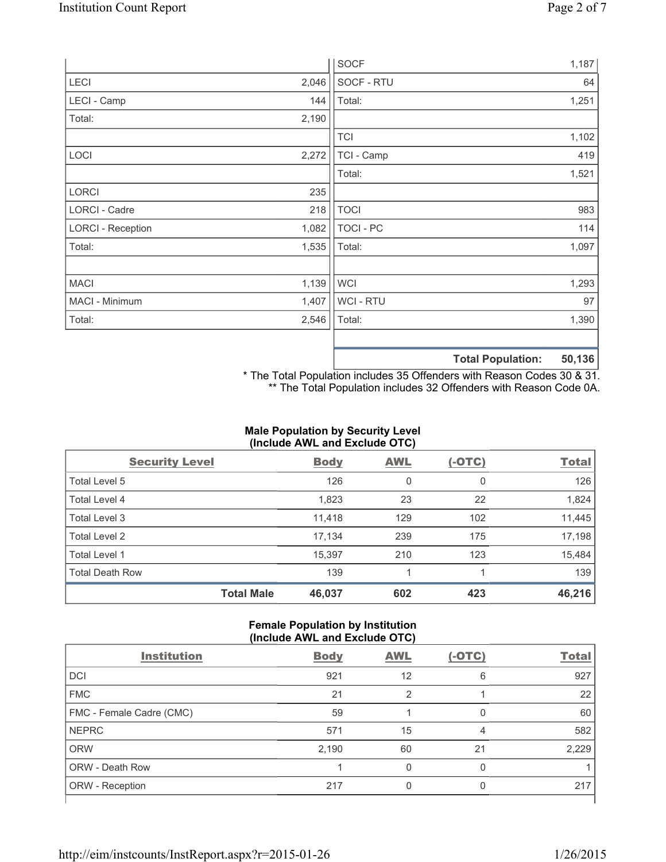|                          |       | <b>SOCF</b>      | 1,187                                    |
|--------------------------|-------|------------------|------------------------------------------|
| <b>LECI</b>              | 2,046 | SOCF - RTU       | 64                                       |
| LECI - Camp              | 144   | Total:           | 1,251                                    |
| Total:                   | 2,190 |                  |                                          |
|                          |       | <b>TCI</b>       | 1,102                                    |
| LOCI                     | 2,272 | TCI - Camp       | 419                                      |
|                          |       | Total:           | 1,521                                    |
| <b>LORCI</b>             | 235   |                  |                                          |
| LORCI - Cadre            | 218   | <b>TOCI</b>      | 983                                      |
| <b>LORCI - Reception</b> | 1,082 | <b>TOCI - PC</b> | 114                                      |
| Total:                   | 1,535 | Total:           | 1,097                                    |
|                          |       |                  |                                          |
| <b>MACI</b>              | 1,139 | <b>WCI</b>       | 1,293                                    |
| MACI - Minimum           | 1,407 | WCI - RTU        | 97                                       |
| Total:                   | 2,546 | Total:           | 1,390                                    |
|                          |       |                  |                                          |
|                          |       |                  | $F^{\prime}$ 400<br>天下 ちょうし あいしょう しょくしゅう |

**Total Population: 50,136**

\* The Total Population includes 35 Offenders with Reason Codes 30 & 31. \*\* The Total Population includes 32 Offenders with Reason Code 0A.

## **Male Population by Security Level (Include AWL and Exclude OTC)**

| <b>Security Level</b>  |                   | <b>Body</b> | <b>AWL</b> | $(-OTC)$ | <b>Total</b> |
|------------------------|-------------------|-------------|------------|----------|--------------|
| Total Level 5          |                   | 126         | 0          | 0        | 126          |
| Total Level 4          |                   | 1,823       | 23         | 22       | 1,824        |
| Total Level 3          |                   | 11,418      | 129        | 102      | 11,445       |
| Total Level 2          |                   | 17,134      | 239        | 175      | 17,198       |
| Total Level 1          |                   | 15,397      | 210        | 123      | 15,484       |
| <b>Total Death Row</b> |                   | 139         |            |          | 139          |
|                        | <b>Total Male</b> | 46,037      | 602        | 423      | 46,216       |

#### **Female Population by Institution (Include AWL and Exclude OTC)**

| ,                        |             |            |          |              |
|--------------------------|-------------|------------|----------|--------------|
| <b>Institution</b>       | <b>Body</b> | <b>AWL</b> | $(-OTC)$ | <b>Total</b> |
| DCI                      | 921         | 12         | 6        | 927          |
| <b>FMC</b>               | 21          |            |          | 22           |
| FMC - Female Cadre (CMC) | 59          |            | 0        | 60           |
| <b>NEPRC</b>             | 571         | 15         | 4        | 582          |
| <b>ORW</b>               | 2,190       | 60         | 21       | 2,229        |
| <b>ORW - Death Row</b>   |             | U          | O        |              |
| ORW - Reception          | 217         |            | O        | 217          |
|                          |             |            |          |              |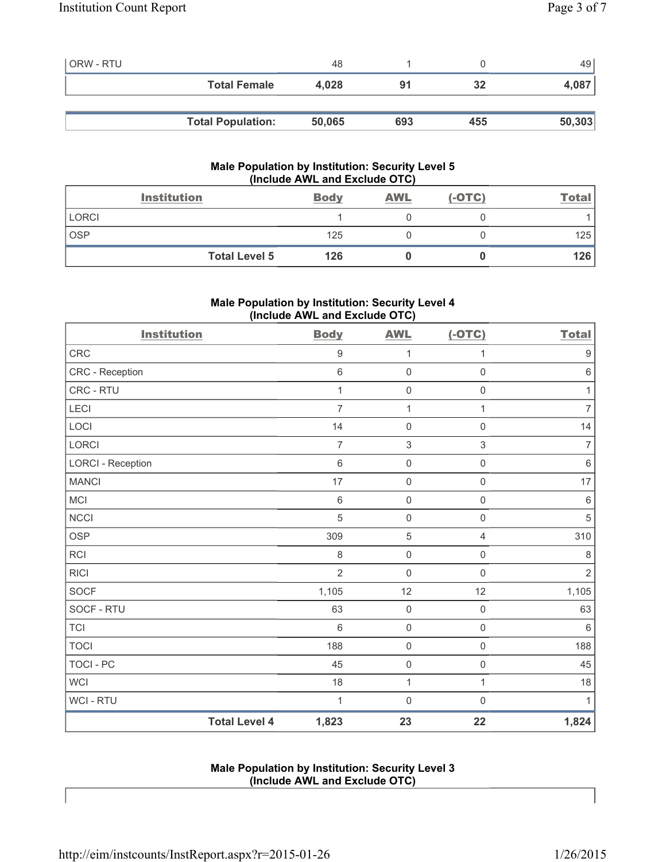| <b>ORW - RTU</b> |                          | 48     |     |     | 49     |
|------------------|--------------------------|--------|-----|-----|--------|
|                  | <b>Total Female</b>      | 4.028  | 91  | 32  | 4,087  |
|                  |                          |        |     |     |        |
|                  | <b>Total Population:</b> | 50,065 | 693 | 455 | 50,303 |

## **Male Population by Institution: Security Level 5 (Include AWL and Exclude OTC)**

|              | <b>Institution</b>   | <b>Body</b> | <b>AWL</b> | $(-OTC)$ | <u>Total</u> |
|--------------|----------------------|-------------|------------|----------|--------------|
| <b>LORCI</b> |                      |             |            |          |              |
| <b>OSP</b>   |                      | 125         |            |          | 125          |
|              | <b>Total Level 5</b> | 126         |            |          | 126          |

# **Male Population by Institution: Security Level 4 (Include AWL and Exclude OTC)**

| <b>Institution</b>       |                      | <b>Body</b>    | <b>AWL</b>          | $(-OTC)$            | <b>Total</b>     |
|--------------------------|----------------------|----------------|---------------------|---------------------|------------------|
| <b>CRC</b>               |                      | $\mathsf g$    | $\mathbf{1}$        | $\mathbf{1}$        | $\boldsymbol{9}$ |
| CRC - Reception          |                      | $\,6$          | $\mathsf{O}\xspace$ | $\mathsf{O}\xspace$ | $\,6\,$          |
| CRC - RTU                |                      | 1              | $\mathsf{O}\xspace$ | $\mathsf{O}\xspace$ | 1                |
| LECI                     |                      | $\overline{7}$ | 1                   | $\mathbf{1}$        | $\overline{7}$   |
| LOCI                     |                      | 14             | $\mathsf{O}\xspace$ | $\boldsymbol{0}$    | 14               |
| <b>LORCI</b>             |                      | $\overline{7}$ | 3                   | 3                   | $\overline{7}$   |
| <b>LORCI - Reception</b> |                      | $\,6$          | $\mathsf{O}\xspace$ | $\mathsf{O}\xspace$ | $\,6\,$          |
| <b>MANCI</b>             |                      | 17             | $\mathsf{O}\xspace$ | $\mathbf 0$         | 17               |
| <b>MCI</b>               |                      | 6              | $\mathsf{O}\xspace$ | $\mathsf{O}\xspace$ | $\,6\,$          |
| <b>NCCI</b>              |                      | 5              | $\mathsf{O}\xspace$ | $\mathsf{O}\xspace$ | $\sqrt{5}$       |
| <b>OSP</b>               |                      | 309            | $\sqrt{5}$          | 4                   | 310              |
| <b>RCI</b>               |                      | 8              | $\mathsf{O}\xspace$ | $\mathsf 0$         | $\,8\,$          |
| <b>RICI</b>              |                      | $\overline{2}$ | $\mathsf{O}\xspace$ | $\mathsf{O}\xspace$ | $\sqrt{2}$       |
| <b>SOCF</b>              |                      | 1,105          | 12                  | 12                  | 1,105            |
| SOCF - RTU               |                      | 63             | $\mathsf{O}\xspace$ | $\mathsf{O}\xspace$ | 63               |
| <b>TCI</b>               |                      | $\,$ 6 $\,$    | $\mathsf{O}\xspace$ | $\mathsf 0$         | $\,6\,$          |
| <b>TOCI</b>              |                      | 188            | $\mathsf{O}\xspace$ | $\mathsf{O}\xspace$ | 188              |
| <b>TOCI - PC</b>         |                      | 45             | $\mathsf{O}\xspace$ | $\mathsf{O}\xspace$ | 45               |
| <b>WCI</b>               |                      | 18             | $\mathbf 1$         | $\mathbf{1}$        | 18               |
| WCI - RTU                |                      | 1              | $\mathbf 0$         | $\mathbf 0$         | 1                |
|                          | <b>Total Level 4</b> | 1,823          | 23                  | 22                  | 1,824            |

## **Male Population by Institution: Security Level 3 (Include AWL and Exclude OTC)**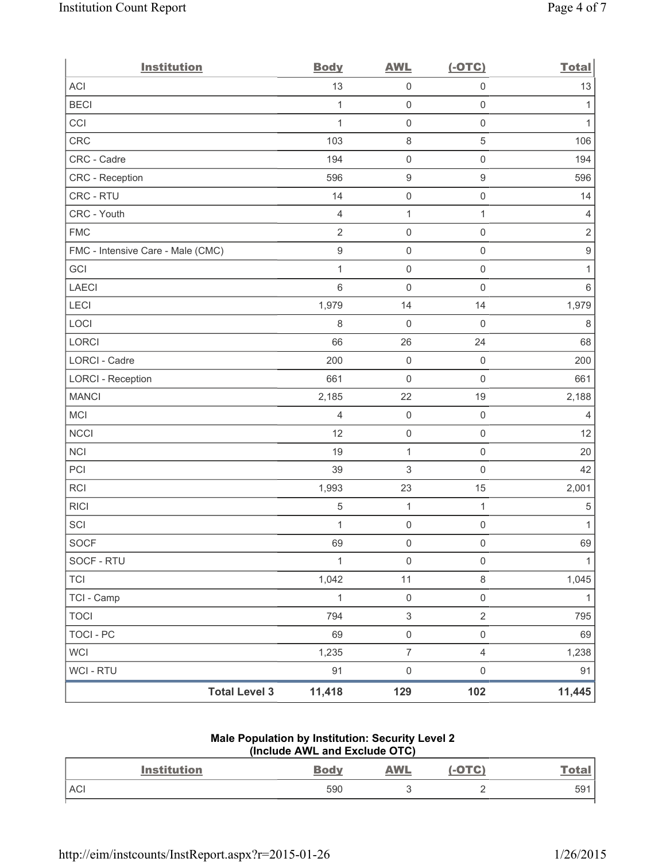| <b>Institution</b>                | <b>Body</b>      | <b>AWL</b>                | $(-OTC)$            | <b>Total</b>     |
|-----------------------------------|------------------|---------------------------|---------------------|------------------|
| <b>ACI</b>                        | 13               | $\mathsf 0$               | $\mathsf 0$         | 13               |
| <b>BECI</b>                       | 1                | $\mathsf{O}\xspace$       | $\mathsf 0$         | 1                |
| CCI                               | 1                | $\mathsf{O}\xspace$       | $\mathsf 0$         | $\mathbf{1}$     |
| CRC                               | 103              | 8                         | $\sqrt{5}$          | 106              |
| CRC - Cadre                       | 194              | 0                         | $\mathsf{O}\xspace$ | 194              |
| CRC - Reception                   | 596              | $\boldsymbol{9}$          | $\boldsymbol{9}$    | 596              |
| CRC - RTU                         | 14               | $\mathsf{O}\xspace$       | $\mathsf{O}\xspace$ | 14               |
| CRC - Youth                       | $\overline{4}$   | $\mathbf{1}$              | $\mathbf{1}$        | $\overline{4}$   |
| <b>FMC</b>                        | $\mathbf 2$      | $\mathsf{O}\xspace$       | $\mathsf 0$         | $\mathbf 2$      |
| FMC - Intensive Care - Male (CMC) | $\boldsymbol{9}$ | 0                         | $\mathsf{O}\xspace$ | $\boldsymbol{9}$ |
| GCI                               | 1                | $\mathsf{O}\xspace$       | $\mathsf{O}\xspace$ | 1                |
| <b>LAECI</b>                      | $6\phantom{1}$   | $\mathsf{O}\xspace$       | $\mathbf 0$         | 6                |
| LECI                              | 1,979            | 14                        | 14                  | 1,979            |
| LOCI                              | $\,8\,$          | $\mathsf{O}\xspace$       | $\mathsf 0$         | $\,8\,$          |
| LORCI                             | 66               | 26                        | 24                  | 68               |
| LORCI - Cadre                     | 200              | $\mathsf 0$               | $\mathsf 0$         | 200              |
| <b>LORCI - Reception</b>          | 661              | 0                         | $\mathbf 0$         | 661              |
| <b>MANCI</b>                      | 2,185            | 22                        | 19                  | 2,188            |
| MCI                               | $\overline{4}$   | $\mathsf{O}\xspace$       | $\mathsf 0$         | 4                |
| <b>NCCI</b>                       | 12               | $\mathsf{O}\xspace$       | $\mathsf 0$         | 12               |
| <b>NCI</b>                        | 19               | $\mathbf{1}$              | $\mathsf 0$         | 20               |
| PCI                               | 39               | $\ensuremath{\mathsf{3}}$ | $\mathbf 0$         | 42               |
| RCI                               | 1,993            | 23                        | 15                  | 2,001            |
| <b>RICI</b>                       | $\sqrt{5}$       | $\mathbf{1}$              | 1                   | $\,$ 5 $\,$      |
| SCI                               | 1                | 0                         | $\mathsf 0$         | $\mathbf{1}$     |
| SOCF                              | 69               | $\mathsf{O}\xspace$       | $\mathsf{O}\xspace$ | 69               |
| SOCF - RTU                        | $\mathbf{1}$     | $\mathsf 0$               | $\mathbf 0$         | $\mathbf{1}$     |
| <b>TCI</b>                        | 1,042            | 11                        | $\,8\,$             | 1,045            |
| TCI - Camp                        | $\mathbf{1}$     | $\mathsf{O}\xspace$       | $\mathsf{O}\xspace$ | $\mathbf{1}$     |
| <b>TOCI</b>                       | 794              | $\mathsf 3$               | $\overline{2}$      | 795              |
| <b>TOCI - PC</b>                  | 69               | $\mathsf{O}\xspace$       | $\mathsf{O}\xspace$ | 69               |
| <b>WCI</b>                        | 1,235            | $\overline{7}$            | $\overline{4}$      | 1,238            |
| WCI - RTU                         | 91               | $\mathsf{O}\xspace$       | $\mathsf{O}\xspace$ | 91               |
| <b>Total Level 3</b>              | 11,418           | 129                       | 102                 | 11,445           |

# **Male Population by Institution: Security Level 2 (Include AWL and Exclude OTC)**

| <b>Institution</b> | <b>Body</b> | <b>AWL</b> | <b>OTC</b> | <u>Tota</u>     |
|--------------------|-------------|------------|------------|-----------------|
| <b>ACI</b>         | 590         |            | -          | 59 <sup>1</sup> |
|                    |             |            |            |                 |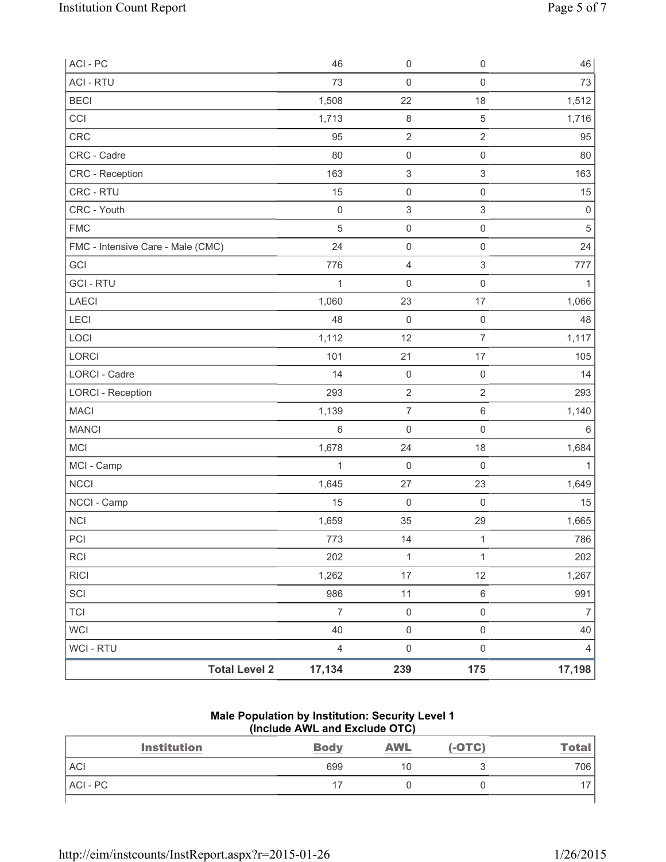| ACI-PC                            | 46             | $\mathsf{O}\xspace$       | $\mathsf 0$               | 46                  |
|-----------------------------------|----------------|---------------------------|---------------------------|---------------------|
| <b>ACI - RTU</b>                  | 73             | $\mathbf 0$               | $\mathsf{O}\xspace$       | 73                  |
| <b>BECI</b>                       | 1,508          | 22                        | 18                        | 1,512               |
| CCI                               | 1,713          | $\,8\,$                   | $\mathbf 5$               | 1,716               |
| CRC                               | 95             | $\sqrt{2}$                | $\overline{2}$            | 95                  |
| CRC - Cadre                       | 80             | $\mathsf{O}\xspace$       | $\mathsf{O}\xspace$       | 80                  |
| CRC - Reception                   | 163            | $\ensuremath{\mathsf{3}}$ | $\ensuremath{\mathsf{3}}$ | 163                 |
| CRC - RTU                         | 15             | $\mathsf{O}\xspace$       | $\mathsf 0$               | 15                  |
| CRC - Youth                       | $\mathbf 0$    | $\ensuremath{\mathsf{3}}$ | 3                         | $\mathsf{O}\xspace$ |
| <b>FMC</b>                        | $\sqrt{5}$     | $\mathsf{O}\xspace$       | $\mathsf 0$               | $\sqrt{5}$          |
| FMC - Intensive Care - Male (CMC) | 24             | $\mathsf{O}\xspace$       | $\mathsf{O}\xspace$       | 24                  |
| GCI                               | 776            | $\overline{4}$            | $\ensuremath{\mathsf{3}}$ | 777                 |
| <b>GCI-RTU</b>                    | 1              | $\mathbf 0$               | $\mathsf 0$               |                     |
| <b>LAECI</b>                      | 1,060          | 23                        | 17                        | 1,066               |
| LECI                              | 48             | $\mathsf{O}\xspace$       | $\mathsf 0$               | 48                  |
| LOCI                              | 1,112          | 12                        | $\overline{7}$            | 1,117               |
| <b>LORCI</b>                      | 101            | 21                        | 17                        | 105                 |
| LORCI - Cadre                     | 14             | $\mathsf{O}\xspace$       | $\mathsf 0$               | 14                  |
| <b>LORCI - Reception</b>          | 293            | $\sqrt{2}$                | $\overline{2}$            | 293                 |
| <b>MACI</b>                       | 1,139          | $\overline{7}$            | $\,6$                     | 1,140               |
| <b>MANCI</b>                      | 6              | $\mathsf{O}\xspace$       | $\mathsf{O}\xspace$       | 6                   |
| MCI                               | 1,678          | 24                        | 18                        | 1,684               |
| MCI - Camp                        | 1              | $\mathbf 0$               | $\mathsf{O}\xspace$       | $\mathbf{1}$        |
| <b>NCCI</b>                       | 1,645          | 27                        | 23                        | 1,649               |
| NCCI - Camp                       | 15             | $\mathsf{O}\xspace$       | $\mathbf 0$               | 15                  |
| <b>NCI</b>                        | 1,659          | 35                        | 29                        | 1,665               |
| PCI                               | 773            | 14                        | 1                         | 786                 |
| RCI                               | 202            | $\mathbf{1}$              | $\mathbf{1}$              | 202                 |
| <b>RICI</b>                       | 1,262          | $17\,$                    | 12                        | 1,267               |
| SCI                               | 986            | 11                        | $\,6\,$                   | 991                 |
| <b>TCI</b>                        | $\overline{7}$ | $\mathsf{O}\xspace$       | $\mathsf{O}\xspace$       | $\overline{7}$      |
| <b>WCI</b>                        | 40             | $\mathsf{O}\xspace$       | $\mathsf{O}\xspace$       | 40                  |
| <b>WCI - RTU</b>                  | $\overline{4}$ | $\mathsf 0$               | $\mathsf{O}\xspace$       | 4                   |
| <b>Total Level 2</b>              | 17,134         | 239                       | 175                       | 17,198              |

### **Male Population by Institution: Security Level 1 (Include AWL and Exclude OTC)**

| <b>Institution</b> | <b>Body</b> | <b>AWL</b> | $(-OTC)$ | <u>Total</u> |
|--------------------|-------------|------------|----------|--------------|
| <b>ACI</b>         | 699         | 10         |          | 706          |
| ACI-PC             |             |            |          |              |
|                    |             |            |          |              |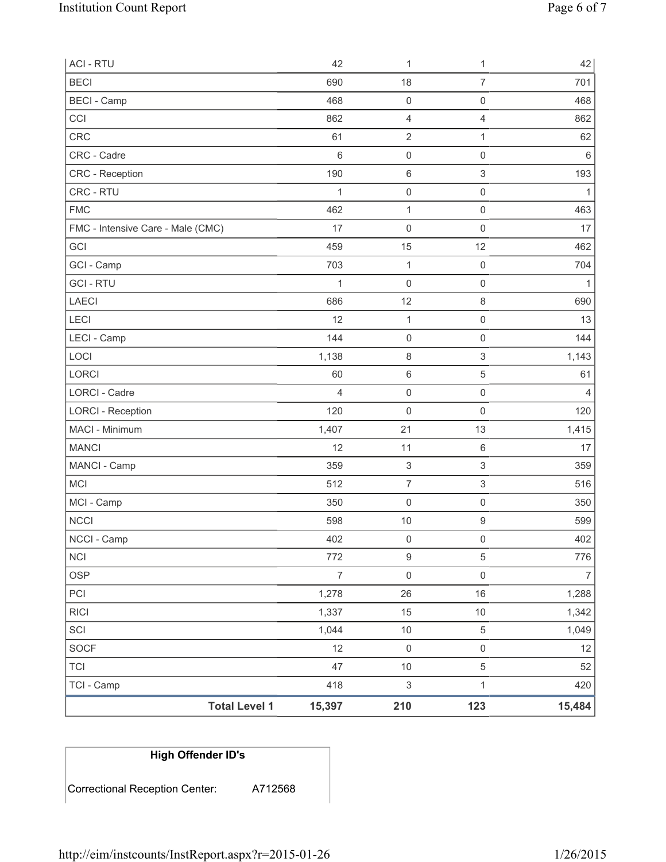| <b>ACI - RTU</b>                  | 42                       | 1                         | 1                         | 42             |
|-----------------------------------|--------------------------|---------------------------|---------------------------|----------------|
| <b>BECI</b>                       | 690                      | 18                        | $\overline{7}$            | 701            |
| <b>BECI</b> - Camp                | 468                      | $\mathsf{O}\xspace$       | $\mathsf{O}\xspace$       | 468            |
| CCI                               | 862                      | 4                         | $\overline{4}$            | 862            |
| <b>CRC</b>                        | 61                       | $\overline{2}$            | $\mathbf{1}$              | 62             |
| CRC - Cadre                       | 6                        | $\mathsf 0$               | $\mathsf 0$               | $6\,$          |
| CRC - Reception                   | 190                      | $\,6$                     | $\ensuremath{\mathsf{3}}$ | 193            |
| CRC - RTU                         | 1                        | $\mathsf{O}\xspace$       | $\mathsf 0$               | 1              |
| <b>FMC</b>                        | 462                      | $\mathbf{1}$              | $\mathsf{O}\xspace$       | 463            |
| FMC - Intensive Care - Male (CMC) | 17                       | 0                         | $\mathsf{O}\xspace$       | 17             |
| GCI                               | 459                      | 15                        | 12                        | 462            |
| GCI - Camp                        | 703                      | 1                         | $\mathbf 0$               | 704            |
| <b>GCI-RTU</b>                    | 1                        | 0                         | $\mathsf 0$               | 1              |
| LAECI                             | 686                      | 12                        | $\,8\,$                   | 690            |
| <b>LECI</b>                       | 12                       | $\mathbf{1}$              | $\mathsf{O}\xspace$       | 13             |
| LECI - Camp                       | 144                      | $\mathsf{O}\xspace$       | $\mathsf{O}\xspace$       | 144            |
| LOCI                              | 1,138                    | 8                         | $\ensuremath{\mathsf{3}}$ | 1,143          |
| LORCI                             | 60                       | 6                         | $\sqrt{5}$                | 61             |
| LORCI - Cadre                     | $\overline{4}$           | $\mathsf 0$               | $\mathsf 0$               | $\overline{4}$ |
| <b>LORCI - Reception</b>          | 120                      | 0                         | $\mathsf{O}\xspace$       | 120            |
| MACI - Minimum                    | 1,407                    | 21                        | 13                        | 1,415          |
| <b>MANCI</b>                      | 12                       | 11                        | $\,6\,$                   | 17             |
| MANCI - Camp                      | 359                      | $\ensuremath{\mathsf{3}}$ | $\ensuremath{\mathsf{3}}$ | 359            |
| MCI                               | 512                      | $\overline{7}$            | $\ensuremath{\mathsf{3}}$ | 516            |
| MCI - Camp                        | 350                      | $\mathsf 0$               | $\mathsf{O}\xspace$       | 350            |
| <b>NCCI</b>                       | 598                      | $10$                      | $\boldsymbol{9}$          | 599            |
| NCCI - Camp                       | 402                      | 0                         | $\mathsf 0$               | 402            |
| <b>NCI</b>                        | 772                      | $\boldsymbol{9}$          | $\sqrt{5}$                | 776            |
| <b>OSP</b>                        | $\overline{\mathcal{I}}$ | $\mathsf{O}\xspace$       | $\mathsf{O}\xspace$       | $\overline{7}$ |
| PCI                               | 1,278                    | 26                        | 16                        | 1,288          |
| <b>RICI</b>                       | 1,337                    | 15                        | $10$                      | 1,342          |
| SCI                               | 1,044                    | 10                        | $\sqrt{5}$                | 1,049          |
| <b>SOCF</b>                       | 12                       | $\mathsf 0$               | $\mathsf{O}\xspace$       | 12             |
| <b>TCI</b>                        | 47                       | $10$                      | 5                         | 52             |
| TCI - Camp                        | 418                      | $\ensuremath{\mathsf{3}}$ | $\mathbf{1}$              | 420            |
| <b>Total Level 1</b>              | 15,397                   | 210                       | 123                       | 15,484         |

| <b>High Offender ID's</b>      |         |
|--------------------------------|---------|
| Correctional Reception Center: | A712568 |